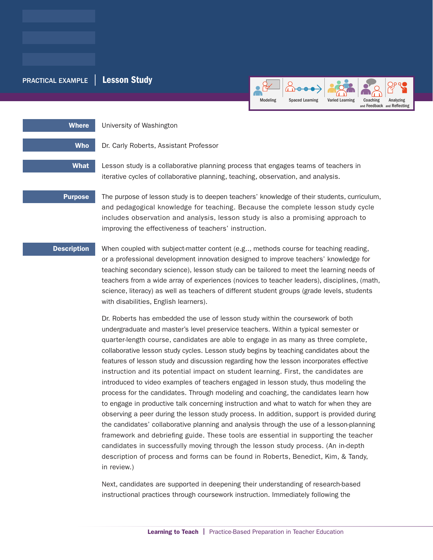## PRACTICAL EXAMPLE | Lesson Study



Where **University of Washington** 

Who Dr. Carly Roberts, Assistant Professor

What Lesson study is a collaborative planning process that engages teams of teachers in

iterative cycles of collaborative planning, teaching, observation, and analysis.

**Purpose** The purpose of lesson study is to deepen teachers' knowledge of their students, curriculum, and pedagogical knowledge for teaching. Because the complete lesson study cycle includes observation and analysis, lesson study is also a promising approach to improving the effectiveness of teachers' instruction.

**Description** When coupled with subject-matter content (e.g.., methods course for teaching reading, or a professional development innovation designed to improve teachers' knowledge for teaching secondary science), lesson study can be tailored to meet the learning needs of teachers from a wide array of experiences (novices to teacher leaders), disciplines, (math, science, literacy) as well as teachers of different student groups (grade levels, students with disabilities, English learners).

> Dr. Roberts has embedded the use of lesson study within the coursework of both undergraduate and master's level preservice teachers. Within a typical semester or quarter-length course, candidates are able to engage in as many as three complete, collaborative lesson study cycles. Lesson study begins by teaching candidates about the features of lesson study and discussion regarding how the lesson incorporates effective instruction and its potential impact on student learning. First, the candidates are introduced to video examples of teachers engaged in lesson study, thus modeling the process for the candidates. Through modeling and coaching, the candidates learn how to engage in productive talk concerning instruction and what to watch for when they are observing a peer during the lesson study process. In addition, support is provided during the candidates' collaborative planning and analysis through the use of a lesson-planning framework and debriefing guide. These tools are essential in supporting the teacher candidates in successfully moving through the lesson study process. (An in-depth description of process and forms can be found in Roberts, Benedict, Kim, & Tandy, in review.)

Next, candidates are supported in deepening their understanding of research-based instructional practices through coursework instruction. Immediately following the